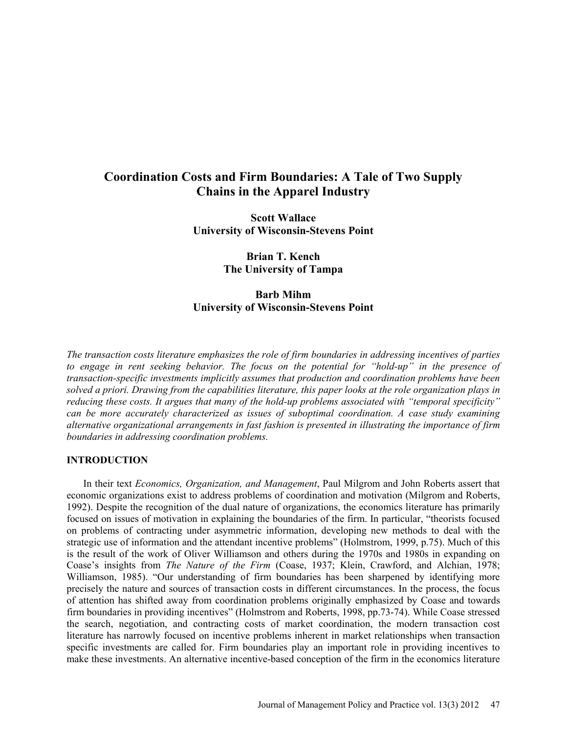# **Coordination Costs and Firm Boundaries: A Tale of Two Supply Chains in the Apparel Industry**

**Scott Wallace University of Wisconsin-Stevens Point**

> **Brian T. Kench The University of Tampa**

# **Barb Mihm University of Wisconsin-Stevens Point**

*The transaction costs literature emphasizes the role of firm boundaries in addressing incentives of parties to engage in rent seeking behavior. The focus on the potential for "hold-up" in the presence of transaction-specific investments implicitly assumes that production and coordination problems have been solved a priori. Drawing from the capabilities literature, this paper looks at the role organization plays in reducing these costs. It argues that many of the hold-up problems associated with "temporal specificity" can be more accurately characterized as issues of suboptimal coordination. A case study examining alternative organizational arrangements in fast fashion is presented in illustrating the importance of firm boundaries in addressing coordination problems.* 

# **INTRODUCTION**

In their text *Economics, Organization, and Management*, Paul Milgrom and John Roberts assert that economic organizations exist to address problems of coordination and motivation (Milgrom and Roberts, 1992). Despite the recognition of the dual nature of organizations, the economics literature has primarily focused on issues of motivation in explaining the boundaries of the firm. In particular, "theorists focused on problems of contracting under asymmetric information, developing new methods to deal with the strategic use of information and the attendant incentive problems" (Holmstrom, 1999, p.75). Much of this is the result of the work of Oliver Williamson and others during the 1970s and 1980s in expanding on Coase's insights from *The Nature of the Firm* (Coase, 1937; Klein, Crawford, and Alchian, 1978; Williamson, 1985). "Our understanding of firm boundaries has been sharpened by identifying more precisely the nature and sources of transaction costs in different circumstances. In the process, the focus of attention has shifted away from coordination problems originally emphasized by Coase and towards firm boundaries in providing incentives" (Holmstrom and Roberts, 1998, pp.73-74). While Coase stressed the search, negotiation, and contracting costs of market coordination, the modern transaction cost literature has narrowly focused on incentive problems inherent in market relationships when transaction specific investments are called for. Firm boundaries play an important role in providing incentives to make these investments. An alternative incentive-based conception of the firm in the economics literature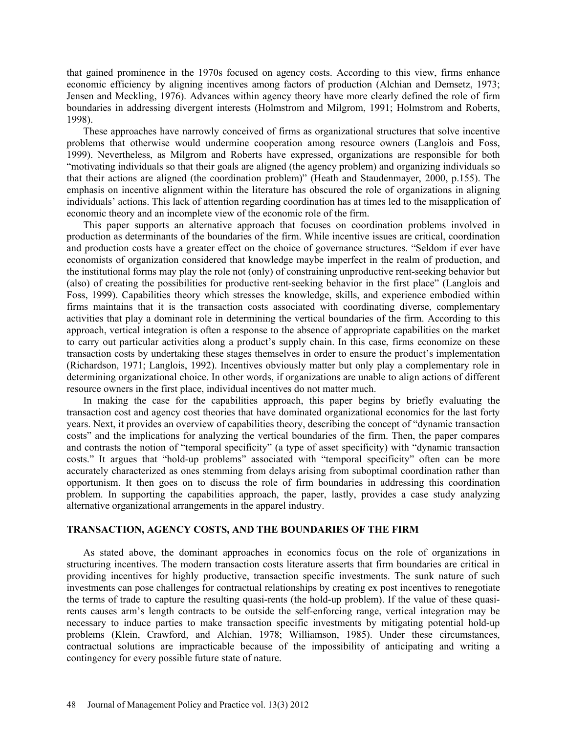that gained prominence in the 1970s focused on agency costs. According to this view, firms enhance economic efficiency by aligning incentives among factors of production (Alchian and Demsetz, 1973; Jensen and Meckling, 1976). Advances within agency theory have more clearly defined the role of firm boundaries in addressing divergent interests (Holmstrom and Milgrom, 1991; Holmstrom and Roberts, 1998).

These approaches have narrowly conceived of firms as organizational structures that solve incentive problems that otherwise would undermine cooperation among resource owners (Langlois and Foss, 1999). Nevertheless, as Milgrom and Roberts have expressed, organizations are responsible for both "motivating individuals so that their goals are aligned (the agency problem) and organizing individuals so that their actions are aligned (the coordination problem)" (Heath and Staudenmayer, 2000, p.155). The emphasis on incentive alignment within the literature has obscured the role of organizations in aligning individuals' actions. This lack of attention regarding coordination has at times led to the misapplication of economic theory and an incomplete view of the economic role of the firm.

This paper supports an alternative approach that focuses on coordination problems involved in production as determinants of the boundaries of the firm. While incentive issues are critical, coordination and production costs have a greater effect on the choice of governance structures. "Seldom if ever have economists of organization considered that knowledge maybe imperfect in the realm of production, and the institutional forms may play the role not (only) of constraining unproductive rent-seeking behavior but (also) of creating the possibilities for productive rent-seeking behavior in the first place" (Langlois and Foss, 1999). Capabilities theory which stresses the knowledge, skills, and experience embodied within firms maintains that it is the transaction costs associated with coordinating diverse, complementary activities that play a dominant role in determining the vertical boundaries of the firm. According to this approach, vertical integration is often a response to the absence of appropriate capabilities on the market to carry out particular activities along a product's supply chain. In this case, firms economize on these transaction costs by undertaking these stages themselves in order to ensure the product's implementation (Richardson, 1971; Langlois, 1992). Incentives obviously matter but only play a complementary role in determining organizational choice. In other words, if organizations are unable to align actions of different resource owners in the first place, individual incentives do not matter much.

In making the case for the capabilities approach, this paper begins by briefly evaluating the transaction cost and agency cost theories that have dominated organizational economics for the last forty years. Next, it provides an overview of capabilities theory, describing the concept of "dynamic transaction costs" and the implications for analyzing the vertical boundaries of the firm. Then, the paper compares and contrasts the notion of "temporal specificity" (a type of asset specificity) with "dynamic transaction costs." It argues that "hold-up problems" associated with "temporal specificity" often can be more accurately characterized as ones stemming from delays arising from suboptimal coordination rather than opportunism. It then goes on to discuss the role of firm boundaries in addressing this coordination problem. In supporting the capabilities approach, the paper, lastly, provides a case study analyzing alternative organizational arrangements in the apparel industry.

# **TRANSACTION, AGENCY COSTS, AND THE BOUNDARIES OF THE FIRM**

As stated above, the dominant approaches in economics focus on the role of organizations in structuring incentives. The modern transaction costs literature asserts that firm boundaries are critical in providing incentives for highly productive, transaction specific investments. The sunk nature of such investments can pose challenges for contractual relationships by creating ex post incentives to renegotiate the terms of trade to capture the resulting quasi-rents (the hold-up problem). If the value of these quasirents causes arm's length contracts to be outside the self-enforcing range, vertical integration may be necessary to induce parties to make transaction specific investments by mitigating potential hold-up problems (Klein, Crawford, and Alchian, 1978; Williamson, 1985). Under these circumstances, contractual solutions are impracticable because of the impossibility of anticipating and writing a contingency for every possible future state of nature.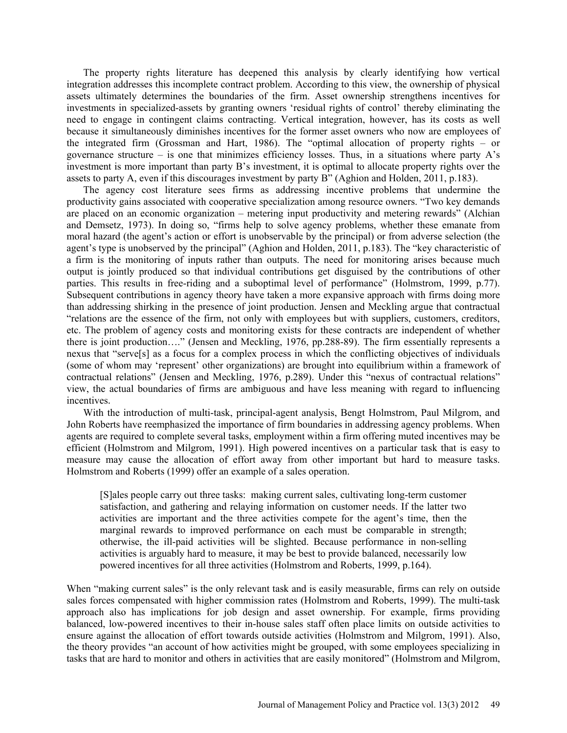The property rights literature has deepened this analysis by clearly identifying how vertical integration addresses this incomplete contract problem. According to this view, the ownership of physical assets ultimately determines the boundaries of the firm. Asset ownership strengthens incentives for investments in specialized-assets by granting owners 'residual rights of control' thereby eliminating the need to engage in contingent claims contracting. Vertical integration, however, has its costs as well because it simultaneously diminishes incentives for the former asset owners who now are employees of the integrated firm (Grossman and Hart, 1986). The "optimal allocation of property rights – or governance structure – is one that minimizes efficiency losses. Thus, in a situations where party  $A$ 's investment is more important than party B's investment, it is optimal to allocate property rights over the assets to party A, even if this discourages investment by party B" (Aghion and Holden, 2011, p.183).

The agency cost literature sees firms as addressing incentive problems that undermine the productivity gains associated with cooperative specialization among resource owners. "Two key demands are placed on an economic organization – metering input productivity and metering rewards" (Alchian and Demsetz, 1973). In doing so, "firms help to solve agency problems, whether these emanate from moral hazard (the agent's action or effort is unobservable by the principal) or from adverse selection (the agent's type is unobserved by the principal" (Aghion and Holden, 2011, p.183). The "key characteristic of a firm is the monitoring of inputs rather than outputs. The need for monitoring arises because much output is jointly produced so that individual contributions get disguised by the contributions of other parties. This results in free-riding and a suboptimal level of performance" (Holmstrom, 1999, p.77). Subsequent contributions in agency theory have taken a more expansive approach with firms doing more than addressing shirking in the presence of joint production. Jensen and Meckling argue that contractual "relations are the essence of the firm, not only with employees but with suppliers, customers, creditors, etc. The problem of agency costs and monitoring exists for these contracts are independent of whether there is joint production…." (Jensen and Meckling, 1976, pp.288-89). The firm essentially represents a nexus that "serve[s] as a focus for a complex process in which the conflicting objectives of individuals (some of whom may 'represent' other organizations) are brought into equilibrium within a framework of contractual relations" (Jensen and Meckling, 1976, p.289). Under this "nexus of contractual relations" view, the actual boundaries of firms are ambiguous and have less meaning with regard to influencing incentives.

With the introduction of multi-task, principal-agent analysis, Bengt Holmstrom, Paul Milgrom, and John Roberts have reemphasized the importance of firm boundaries in addressing agency problems. When agents are required to complete several tasks, employment within a firm offering muted incentives may be efficient (Holmstrom and Milgrom, 1991). High powered incentives on a particular task that is easy to measure may cause the allocation of effort away from other important but hard to measure tasks. Holmstrom and Roberts (1999) offer an example of a sales operation.

[S]ales people carry out three tasks: making current sales, cultivating long-term customer satisfaction, and gathering and relaying information on customer needs. If the latter two activities are important and the three activities compete for the agent's time, then the marginal rewards to improved performance on each must be comparable in strength; otherwise, the ill-paid activities will be slighted. Because performance in non-selling activities is arguably hard to measure, it may be best to provide balanced, necessarily low powered incentives for all three activities (Holmstrom and Roberts, 1999, p.164).

When "making current sales" is the only relevant task and is easily measurable, firms can rely on outside sales forces compensated with higher commission rates (Holmstrom and Roberts, 1999). The multi-task approach also has implications for job design and asset ownership. For example, firms providing balanced, low-powered incentives to their in-house sales staff often place limits on outside activities to ensure against the allocation of effort towards outside activities (Holmstrom and Milgrom, 1991). Also, the theory provides "an account of how activities might be grouped, with some employees specializing in tasks that are hard to monitor and others in activities that are easily monitored" (Holmstrom and Milgrom,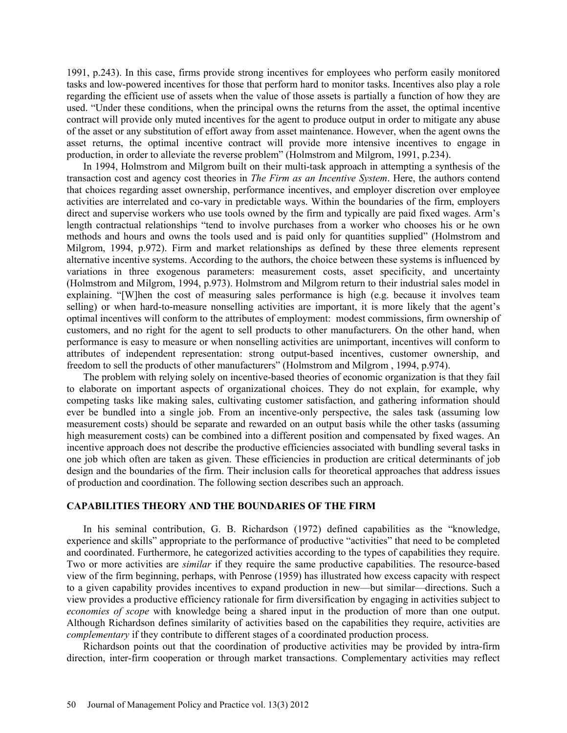1991, p.243). In this case, firms provide strong incentives for employees who perform easily monitored tasks and low-powered incentives for those that perform hard to monitor tasks. Incentives also play a role regarding the efficient use of assets when the value of those assets is partially a function of how they are used. "Under these conditions, when the principal owns the returns from the asset, the optimal incentive contract will provide only muted incentives for the agent to produce output in order to mitigate any abuse of the asset or any substitution of effort away from asset maintenance. However, when the agent owns the asset returns, the optimal incentive contract will provide more intensive incentives to engage in production, in order to alleviate the reverse problem" (Holmstrom and Milgrom, 1991, p.234).

In 1994, Holmstrom and Milgrom built on their multi-task approach in attempting a synthesis of the transaction cost and agency cost theories in *The Firm as an Incentive System*. Here, the authors contend that choices regarding asset ownership, performance incentives, and employer discretion over employee activities are interrelated and co-vary in predictable ways. Within the boundaries of the firm, employers direct and supervise workers who use tools owned by the firm and typically are paid fixed wages. Arm's length contractual relationships "tend to involve purchases from a worker who chooses his or he own methods and hours and owns the tools used and is paid only for quantities supplied" (Holmstrom and Milgrom, 1994, p.972). Firm and market relationships as defined by these three elements represent alternative incentive systems. According to the authors, the choice between these systems is influenced by variations in three exogenous parameters: measurement costs, asset specificity, and uncertainty (Holmstrom and Milgrom, 1994, p.973). Holmstrom and Milgrom return to their industrial sales model in explaining. "[W]hen the cost of measuring sales performance is high (e.g. because it involves team selling) or when hard-to-measure nonselling activities are important, it is more likely that the agent's optimal incentives will conform to the attributes of employment: modest commissions, firm ownership of customers, and no right for the agent to sell products to other manufacturers. On the other hand, when performance is easy to measure or when nonselling activities are unimportant, incentives will conform to attributes of independent representation: strong output-based incentives, customer ownership, and freedom to sell the products of other manufacturers" (Holmstrom and Milgrom , 1994, p.974).

The problem with relying solely on incentive-based theories of economic organization is that they fail to elaborate on important aspects of organizational choices. They do not explain, for example, why competing tasks like making sales, cultivating customer satisfaction, and gathering information should ever be bundled into a single job. From an incentive-only perspective, the sales task (assuming low measurement costs) should be separate and rewarded on an output basis while the other tasks (assuming high measurement costs) can be combined into a different position and compensated by fixed wages. An incentive approach does not describe the productive efficiencies associated with bundling several tasks in one job which often are taken as given. These efficiencies in production are critical determinants of job design and the boundaries of the firm. Their inclusion calls for theoretical approaches that address issues of production and coordination. The following section describes such an approach.

### **CAPABILITIES THEORY AND THE BOUNDARIES OF THE FIRM**

In his seminal contribution, G. B. Richardson (1972) defined capabilities as the "knowledge, experience and skills" appropriate to the performance of productive "activities" that need to be completed and coordinated. Furthermore, he categorized activities according to the types of capabilities they require. Two or more activities are *similar* if they require the same productive capabilities. The resource-based view of the firm beginning, perhaps, with Penrose (1959) has illustrated how excess capacity with respect to a given capability provides incentives to expand production in new—but similar—directions. Such a view provides a productive efficiency rationale for firm diversification by engaging in activities subject to *economies of scope* with knowledge being a shared input in the production of more than one output. Although Richardson defines similarity of activities based on the capabilities they require, activities are *complementary* if they contribute to different stages of a coordinated production process.

Richardson points out that the coordination of productive activities may be provided by intra-firm direction, inter-firm cooperation or through market transactions. Complementary activities may reflect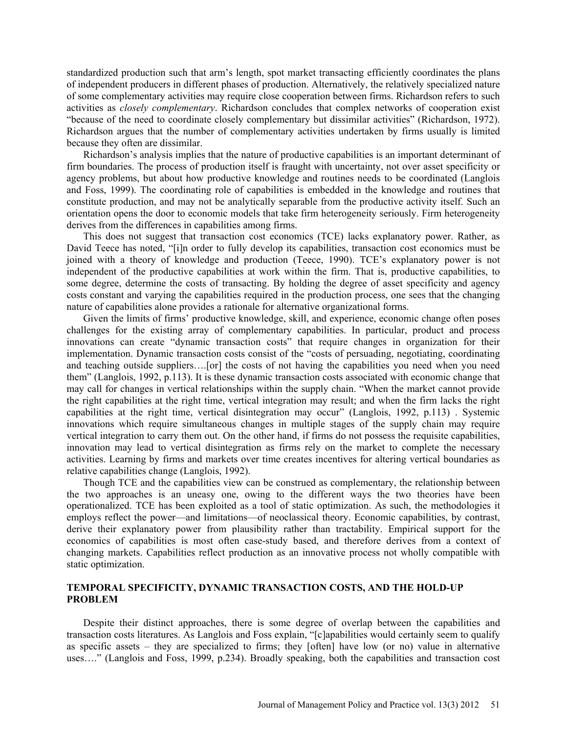standardized production such that arm's length, spot market transacting efficiently coordinates the plans of independent producers in different phases of production. Alternatively, the relatively specialized nature of some complementary activities may require close cooperation between firms. Richardson refers to such activities as *closely complementary*. Richardson concludes that complex networks of cooperation exist "because of the need to coordinate closely complementary but dissimilar activities" (Richardson, 1972). Richardson argues that the number of complementary activities undertaken by firms usually is limited because they often are dissimilar.

Richardson's analysis implies that the nature of productive capabilities is an important determinant of firm boundaries. The process of production itself is fraught with uncertainty, not over asset specificity or agency problems, but about how productive knowledge and routines needs to be coordinated (Langlois and Foss, 1999). The coordinating role of capabilities is embedded in the knowledge and routines that constitute production, and may not be analytically separable from the productive activity itself. Such an orientation opens the door to economic models that take firm heterogeneity seriously. Firm heterogeneity derives from the differences in capabilities among firms.

This does not suggest that transaction cost economics (TCE) lacks explanatory power. Rather, as David Teece has noted, "[i]n order to fully develop its capabilities, transaction cost economics must be joined with a theory of knowledge and production (Teece, 1990). TCE's explanatory power is not independent of the productive capabilities at work within the firm. That is, productive capabilities, to some degree, determine the costs of transacting. By holding the degree of asset specificity and agency costs constant and varying the capabilities required in the production process, one sees that the changing nature of capabilities alone provides a rationale for alternative organizational forms.

Given the limits of firms' productive knowledge, skill, and experience, economic change often poses challenges for the existing array of complementary capabilities. In particular, product and process innovations can create "dynamic transaction costs" that require changes in organization for their implementation. Dynamic transaction costs consist of the "costs of persuading, negotiating, coordinating and teaching outside suppliers….[or] the costs of not having the capabilities you need when you need them" (Langlois, 1992, p.113). It is these dynamic transaction costs associated with economic change that may call for changes in vertical relationships within the supply chain. "When the market cannot provide the right capabilities at the right time, vertical integration may result; and when the firm lacks the right capabilities at the right time, vertical disintegration may occur" (Langlois, 1992, p.113) . Systemic innovations which require simultaneous changes in multiple stages of the supply chain may require vertical integration to carry them out. On the other hand, if firms do not possess the requisite capabilities, innovation may lead to vertical disintegration as firms rely on the market to complete the necessary activities. Learning by firms and markets over time creates incentives for altering vertical boundaries as relative capabilities change (Langlois, 1992).

Though TCE and the capabilities view can be construed as complementary, the relationship between the two approaches is an uneasy one, owing to the different ways the two theories have been operationalized. TCE has been exploited as a tool of static optimization. As such, the methodologies it employs reflect the power—and limitations—of neoclassical theory. Economic capabilities, by contrast, derive their explanatory power from plausibility rather than tractability. Empirical support for the economics of capabilities is most often case-study based, and therefore derives from a context of changing markets. Capabilities reflect production as an innovative process not wholly compatible with static optimization.

# **TEMPORAL SPECIFICITY, DYNAMIC TRANSACTION COSTS, AND THE HOLD-UP PROBLEM**

Despite their distinct approaches, there is some degree of overlap between the capabilities and transaction costs literatures. As Langlois and Foss explain, "[c]apabilities would certainly seem to qualify as specific assets – they are specialized to firms; they [often] have low (or no) value in alternative uses…." (Langlois and Foss, 1999, p.234). Broadly speaking, both the capabilities and transaction cost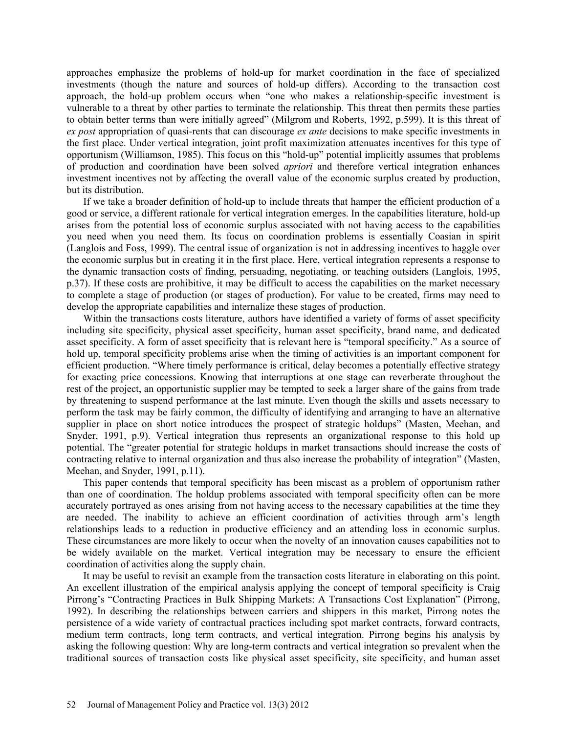approaches emphasize the problems of hold-up for market coordination in the face of specialized investments (though the nature and sources of hold-up differs). According to the transaction cost approach, the hold-up problem occurs when "one who makes a relationship-specific investment is vulnerable to a threat by other parties to terminate the relationship. This threat then permits these parties to obtain better terms than were initially agreed" (Milgrom and Roberts, 1992, p.599). It is this threat of *ex post* appropriation of quasi-rents that can discourage *ex ante* decisions to make specific investments in the first place. Under vertical integration, joint profit maximization attenuates incentives for this type of opportunism (Williamson, 1985). This focus on this "hold-up" potential implicitly assumes that problems of production and coordination have been solved *apriori* and therefore vertical integration enhances investment incentives not by affecting the overall value of the economic surplus created by production, but its distribution.

If we take a broader definition of hold-up to include threats that hamper the efficient production of a good or service, a different rationale for vertical integration emerges. In the capabilities literature, hold-up arises from the potential loss of economic surplus associated with not having access to the capabilities you need when you need them. Its focus on coordination problems is essentially Coasian in spirit (Langlois and Foss, 1999). The central issue of organization is not in addressing incentives to haggle over the economic surplus but in creating it in the first place. Here, vertical integration represents a response to the dynamic transaction costs of finding, persuading, negotiating, or teaching outsiders (Langlois, 1995, p.37). If these costs are prohibitive, it may be difficult to access the capabilities on the market necessary to complete a stage of production (or stages of production). For value to be created, firms may need to develop the appropriate capabilities and internalize these stages of production.

Within the transactions costs literature, authors have identified a variety of forms of asset specificity including site specificity, physical asset specificity, human asset specificity, brand name, and dedicated asset specificity. A form of asset specificity that is relevant here is "temporal specificity." As a source of hold up, temporal specificity problems arise when the timing of activities is an important component for efficient production. "Where timely performance is critical, delay becomes a potentially effective strategy for exacting price concessions. Knowing that interruptions at one stage can reverberate throughout the rest of the project, an opportunistic supplier may be tempted to seek a larger share of the gains from trade by threatening to suspend performance at the last minute. Even though the skills and assets necessary to perform the task may be fairly common, the difficulty of identifying and arranging to have an alternative supplier in place on short notice introduces the prospect of strategic holdups" (Masten, Meehan, and Snyder, 1991, p.9). Vertical integration thus represents an organizational response to this hold up potential. The "greater potential for strategic holdups in market transactions should increase the costs of contracting relative to internal organization and thus also increase the probability of integration" (Masten, Meehan, and Snyder, 1991, p.11).

This paper contends that temporal specificity has been miscast as a problem of opportunism rather than one of coordination. The holdup problems associated with temporal specificity often can be more accurately portrayed as ones arising from not having access to the necessary capabilities at the time they are needed. The inability to achieve an efficient coordination of activities through arm's length relationships leads to a reduction in productive efficiency and an attending loss in economic surplus. These circumstances are more likely to occur when the novelty of an innovation causes capabilities not to be widely available on the market. Vertical integration may be necessary to ensure the efficient coordination of activities along the supply chain.

It may be useful to revisit an example from the transaction costs literature in elaborating on this point. An excellent illustration of the empirical analysis applying the concept of temporal specificity is Craig Pirrong's "Contracting Practices in Bulk Shipping Markets: A Transactions Cost Explanation" (Pirrong, 1992). In describing the relationships between carriers and shippers in this market, Pirrong notes the persistence of a wide variety of contractual practices including spot market contracts, forward contracts, medium term contracts, long term contracts, and vertical integration. Pirrong begins his analysis by asking the following question: Why are long-term contracts and vertical integration so prevalent when the traditional sources of transaction costs like physical asset specificity, site specificity, and human asset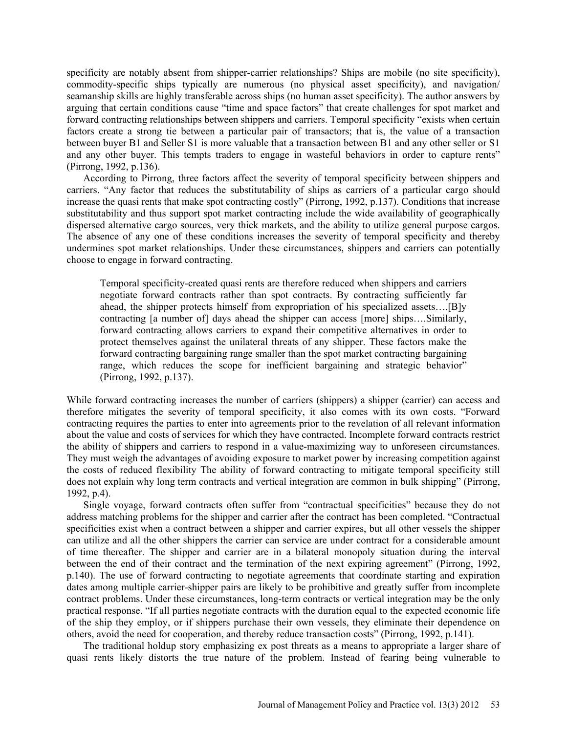specificity are notably absent from shipper-carrier relationships? Ships are mobile (no site specificity), commodity-specific ships typically are numerous (no physical asset specificity), and navigation/ seamanship skills are highly transferable across ships (no human asset specificity). The author answers by arguing that certain conditions cause "time and space factors" that create challenges for spot market and forward contracting relationships between shippers and carriers. Temporal specificity "exists when certain factors create a strong tie between a particular pair of transactors; that is, the value of a transaction between buyer B1 and Seller S1 is more valuable that a transaction between B1 and any other seller or S1 and any other buyer. This tempts traders to engage in wasteful behaviors in order to capture rents" (Pirrong, 1992, p.136).

According to Pirrong, three factors affect the severity of temporal specificity between shippers and carriers. "Any factor that reduces the substitutability of ships as carriers of a particular cargo should increase the quasi rents that make spot contracting costly" (Pirrong, 1992, p.137). Conditions that increase substitutability and thus support spot market contracting include the wide availability of geographically dispersed alternative cargo sources, very thick markets, and the ability to utilize general purpose cargos. The absence of any one of these conditions increases the severity of temporal specificity and thereby undermines spot market relationships. Under these circumstances, shippers and carriers can potentially choose to engage in forward contracting.

Temporal specificity-created quasi rents are therefore reduced when shippers and carriers negotiate forward contracts rather than spot contracts. By contracting sufficiently far ahead, the shipper protects himself from expropriation of his specialized assets….[B]y contracting [a number of] days ahead the shipper can access [more] ships….Similarly, forward contracting allows carriers to expand their competitive alternatives in order to protect themselves against the unilateral threats of any shipper. These factors make the forward contracting bargaining range smaller than the spot market contracting bargaining range, which reduces the scope for inefficient bargaining and strategic behavior" (Pirrong, 1992, p.137).

While forward contracting increases the number of carriers (shippers) a shipper (carrier) can access and therefore mitigates the severity of temporal specificity, it also comes with its own costs. "Forward contracting requires the parties to enter into agreements prior to the revelation of all relevant information about the value and costs of services for which they have contracted. Incomplete forward contracts restrict the ability of shippers and carriers to respond in a value-maximizing way to unforeseen circumstances. They must weigh the advantages of avoiding exposure to market power by increasing competition against the costs of reduced flexibility The ability of forward contracting to mitigate temporal specificity still does not explain why long term contracts and vertical integration are common in bulk shipping" (Pirrong, 1992, p.4).

Single voyage, forward contracts often suffer from "contractual specificities" because they do not address matching problems for the shipper and carrier after the contract has been completed. "Contractual specificities exist when a contract between a shipper and carrier expires, but all other vessels the shipper can utilize and all the other shippers the carrier can service are under contract for a considerable amount of time thereafter. The shipper and carrier are in a bilateral monopoly situation during the interval between the end of their contract and the termination of the next expiring agreement" (Pirrong, 1992, p.140). The use of forward contracting to negotiate agreements that coordinate starting and expiration dates among multiple carrier-shipper pairs are likely to be prohibitive and greatly suffer from incomplete contract problems. Under these circumstances, long-term contracts or vertical integration may be the only practical response. "If all parties negotiate contracts with the duration equal to the expected economic life of the ship they employ, or if shippers purchase their own vessels, they eliminate their dependence on others, avoid the need for cooperation, and thereby reduce transaction costs" (Pirrong, 1992, p.141).

The traditional holdup story emphasizing ex post threats as a means to appropriate a larger share of quasi rents likely distorts the true nature of the problem. Instead of fearing being vulnerable to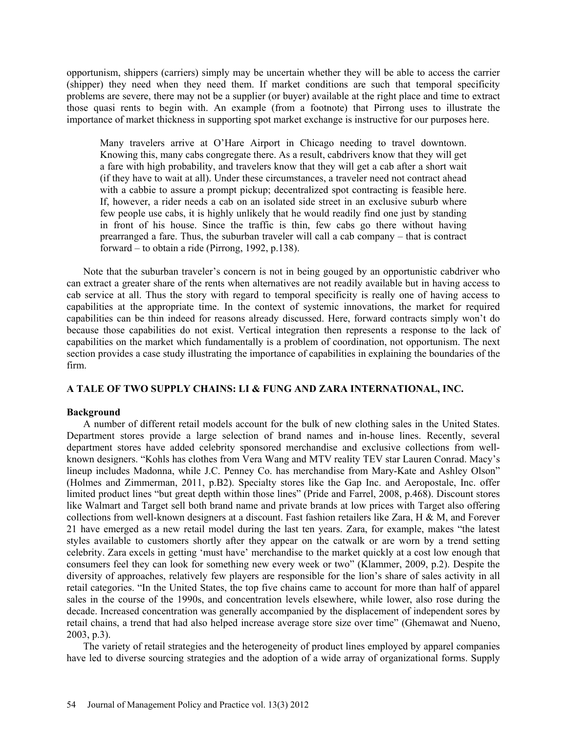opportunism, shippers (carriers) simply may be uncertain whether they will be able to access the carrier (shipper) they need when they need them. If market conditions are such that temporal specificity problems are severe, there may not be a supplier (or buyer) available at the right place and time to extract those quasi rents to begin with. An example (from a footnote) that Pirrong uses to illustrate the importance of market thickness in supporting spot market exchange is instructive for our purposes here.

Many travelers arrive at O'Hare Airport in Chicago needing to travel downtown. Knowing this, many cabs congregate there. As a result, cabdrivers know that they will get a fare with high probability, and travelers know that they will get a cab after a short wait (if they have to wait at all). Under these circumstances, a traveler need not contract ahead with a cabbie to assure a prompt pickup; decentralized spot contracting is feasible here. If, however, a rider needs a cab on an isolated side street in an exclusive suburb where few people use cabs, it is highly unlikely that he would readily find one just by standing in front of his house. Since the traffic is thin, few cabs go there without having prearranged a fare. Thus, the suburban traveler will call a cab company – that is contract forward – to obtain a ride (Pirrong, 1992, p.138).

Note that the suburban traveler's concern is not in being gouged by an opportunistic cabdriver who can extract a greater share of the rents when alternatives are not readily available but in having access to cab service at all. Thus the story with regard to temporal specificity is really one of having access to capabilities at the appropriate time. In the context of systemic innovations, the market for required capabilities can be thin indeed for reasons already discussed. Here, forward contracts simply won't do because those capabilities do not exist. Vertical integration then represents a response to the lack of capabilities on the market which fundamentally is a problem of coordination, not opportunism. The next section provides a case study illustrating the importance of capabilities in explaining the boundaries of the firm.

# **A TALE OF TWO SUPPLY CHAINS: LI & FUNG AND ZARA INTERNATIONAL, INC.**

### **Background**

A number of different retail models account for the bulk of new clothing sales in the United States. Department stores provide a large selection of brand names and in-house lines. Recently, several department stores have added celebrity sponsored merchandise and exclusive collections from wellknown designers. "Kohls has clothes from Vera Wang and MTV reality TEV star Lauren Conrad. Macy's lineup includes Madonna, while J.C. Penney Co. has merchandise from Mary-Kate and Ashley Olson" (Holmes and Zimmerman, 2011, p.B2). Specialty stores like the Gap Inc. and Aeropostale, Inc. offer limited product lines "but great depth within those lines" (Pride and Farrel, 2008, p.468). Discount stores like Walmart and Target sell both brand name and private brands at low prices with Target also offering collections from well-known designers at a discount. Fast fashion retailers like Zara, H & M, and Forever 21 have emerged as a new retail model during the last ten years. Zara, for example, makes "the latest styles available to customers shortly after they appear on the catwalk or are worn by a trend setting celebrity. Zara excels in getting 'must have' merchandise to the market quickly at a cost low enough that consumers feel they can look for something new every week or two" (Klammer, 2009, p.2). Despite the diversity of approaches, relatively few players are responsible for the lion's share of sales activity in all retail categories. "In the United States, the top five chains came to account for more than half of apparel sales in the course of the 1990s, and concentration levels elsewhere, while lower, also rose during the decade. Increased concentration was generally accompanied by the displacement of independent sores by retail chains, a trend that had also helped increase average store size over time" (Ghemawat and Nueno, 2003, p.3).

The variety of retail strategies and the heterogeneity of product lines employed by apparel companies have led to diverse sourcing strategies and the adoption of a wide array of organizational forms. Supply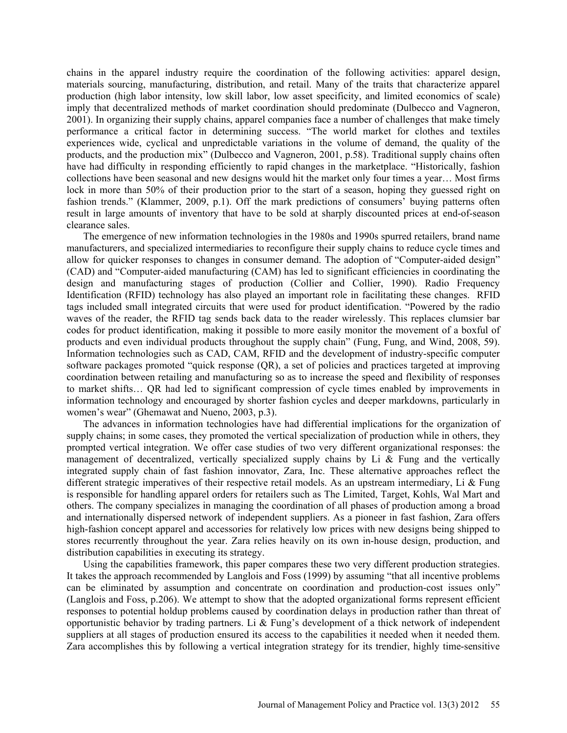chains in the apparel industry require the coordination of the following activities: apparel design, materials sourcing, manufacturing, distribution, and retail. Many of the traits that characterize apparel production (high labor intensity, low skill labor, low asset specificity, and limited economics of scale) imply that decentralized methods of market coordination should predominate (Dulbecco and Vagneron, 2001). In organizing their supply chains, apparel companies face a number of challenges that make timely performance a critical factor in determining success. "The world market for clothes and textiles experiences wide, cyclical and unpredictable variations in the volume of demand, the quality of the products, and the production mix" (Dulbecco and Vagneron, 2001, p.58). Traditional supply chains often have had difficulty in responding efficiently to rapid changes in the marketplace. "Historically, fashion collections have been seasonal and new designs would hit the market only four times a year… Most firms lock in more than 50% of their production prior to the start of a season, hoping they guessed right on fashion trends." (Klammer, 2009, p.1). Off the mark predictions of consumers' buying patterns often result in large amounts of inventory that have to be sold at sharply discounted prices at end-of-season clearance sales.

The emergence of new information technologies in the 1980s and 1990s spurred retailers, brand name manufacturers, and specialized intermediaries to reconfigure their supply chains to reduce cycle times and allow for quicker responses to changes in consumer demand. The adoption of "Computer-aided design" (CAD) and "Computer-aided manufacturing (CAM) has led to significant efficiencies in coordinating the design and manufacturing stages of production (Collier and Collier, 1990). Radio Frequency Identification (RFID) technology has also played an important role in facilitating these changes. RFID tags included small integrated circuits that were used for product identification. "Powered by the radio waves of the reader, the RFID tag sends back data to the reader wirelessly. This replaces clumsier bar codes for product identification, making it possible to more easily monitor the movement of a boxful of products and even individual products throughout the supply chain" (Fung, Fung, and Wind, 2008, 59). Information technologies such as CAD, CAM, RFID and the development of industry-specific computer software packages promoted "quick response (QR), a set of policies and practices targeted at improving coordination between retailing and manufacturing so as to increase the speed and flexibility of responses to market shifts… QR had led to significant compression of cycle times enabled by improvements in information technology and encouraged by shorter fashion cycles and deeper markdowns, particularly in women's wear" (Ghemawat and Nueno, 2003, p.3).

The advances in information technologies have had differential implications for the organization of supply chains; in some cases, they promoted the vertical specialization of production while in others, they prompted vertical integration. We offer case studies of two very different organizational responses: the management of decentralized, vertically specialized supply chains by Li & Fung and the vertically integrated supply chain of fast fashion innovator, Zara, Inc. These alternative approaches reflect the different strategic imperatives of their respective retail models. As an upstream intermediary, Li & Fung is responsible for handling apparel orders for retailers such as The Limited, Target, Kohls, Wal Mart and others. The company specializes in managing the coordination of all phases of production among a broad and internationally dispersed network of independent suppliers. As a pioneer in fast fashion, Zara offers high-fashion concept apparel and accessories for relatively low prices with new designs being shipped to stores recurrently throughout the year. Zara relies heavily on its own in-house design, production, and distribution capabilities in executing its strategy.

Using the capabilities framework, this paper compares these two very different production strategies. It takes the approach recommended by Langlois and Foss (1999) by assuming "that all incentive problems can be eliminated by assumption and concentrate on coordination and production-cost issues only" (Langlois and Foss, p.206). We attempt to show that the adopted organizational forms represent efficient responses to potential holdup problems caused by coordination delays in production rather than threat of opportunistic behavior by trading partners. Li  $\&$  Fung's development of a thick network of independent suppliers at all stages of production ensured its access to the capabilities it needed when it needed them. Zara accomplishes this by following a vertical integration strategy for its trendier, highly time-sensitive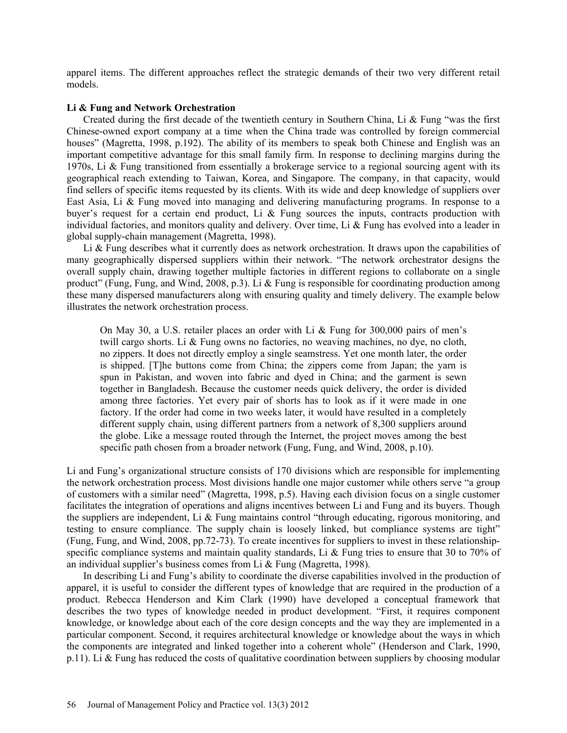apparel items. The different approaches reflect the strategic demands of their two very different retail models.

### **Li & Fung and Network Orchestration**

Created during the first decade of the twentieth century in Southern China, Li & Fung "was the first Chinese-owned export company at a time when the China trade was controlled by foreign commercial houses" (Magretta, 1998, p.192). The ability of its members to speak both Chinese and English was an important competitive advantage for this small family firm. In response to declining margins during the 1970s, Li & Fung transitioned from essentially a brokerage service to a regional sourcing agent with its geographical reach extending to Taiwan, Korea, and Singapore. The company, in that capacity, would find sellers of specific items requested by its clients. With its wide and deep knowledge of suppliers over East Asia, Li & Fung moved into managing and delivering manufacturing programs. In response to a buyer's request for a certain end product, Li & Fung sources the inputs, contracts production with individual factories, and monitors quality and delivery. Over time, Li & Fung has evolved into a leader in global supply-chain management (Magretta, 1998).

Li  $\&$  Fung describes what it currently does as network orchestration. It draws upon the capabilities of many geographically dispersed suppliers within their network. "The network orchestrator designs the overall supply chain, drawing together multiple factories in different regions to collaborate on a single product" (Fung, Fung, and Wind, 2008, p.3). Li & Fung is responsible for coordinating production among these many dispersed manufacturers along with ensuring quality and timely delivery. The example below illustrates the network orchestration process.

On May 30, a U.S. retailer places an order with Li & Fung for 300,000 pairs of men's twill cargo shorts. Li & Fung owns no factories, no weaving machines, no dye, no cloth, no zippers. It does not directly employ a single seamstress. Yet one month later, the order is shipped. [T]he buttons come from China; the zippers come from Japan; the yarn is spun in Pakistan, and woven into fabric and dyed in China; and the garment is sewn together in Bangladesh. Because the customer needs quick delivery, the order is divided among three factories. Yet every pair of shorts has to look as if it were made in one factory. If the order had come in two weeks later, it would have resulted in a completely different supply chain, using different partners from a network of 8,300 suppliers around the globe. Like a message routed through the Internet, the project moves among the best specific path chosen from a broader network (Fung, Fung, and Wind, 2008, p.10).

Li and Fung's organizational structure consists of 170 divisions which are responsible for implementing the network orchestration process. Most divisions handle one major customer while others serve "a group of customers with a similar need" (Magretta, 1998, p.5). Having each division focus on a single customer facilitates the integration of operations and aligns incentives between Li and Fung and its buyers. Though the suppliers are independent, Li & Fung maintains control "through educating, rigorous monitoring, and testing to ensure compliance. The supply chain is loosely linked, but compliance systems are tight" (Fung, Fung, and Wind, 2008, pp.72-73). To create incentives for suppliers to invest in these relationshipspecific compliance systems and maintain quality standards, Li & Fung tries to ensure that 30 to 70% of an individual supplier's business comes from Li & Fung (Magretta, 1998).

In describing Li and Fung's ability to coordinate the diverse capabilities involved in the production of apparel, it is useful to consider the different types of knowledge that are required in the production of a product. Rebecca Henderson and Kim Clark (1990) have developed a conceptual framework that describes the two types of knowledge needed in product development. "First, it requires component knowledge, or knowledge about each of the core design concepts and the way they are implemented in a particular component. Second, it requires architectural knowledge or knowledge about the ways in which the components are integrated and linked together into a coherent whole" (Henderson and Clark, 1990, p.11). Li & Fung has reduced the costs of qualitative coordination between suppliers by choosing modular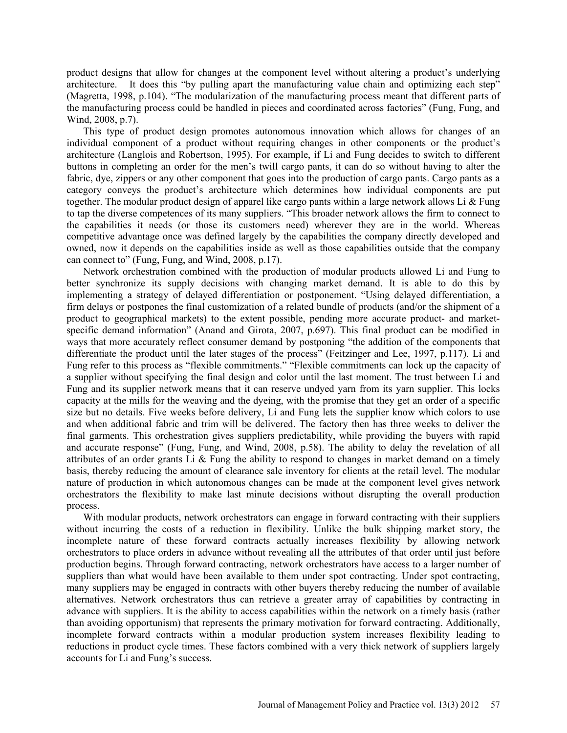product designs that allow for changes at the component level without altering a product's underlying architecture. It does this "by pulling apart the manufacturing value chain and optimizing each step" (Magretta, 1998, p.104). "The modularization of the manufacturing process meant that different parts of the manufacturing process could be handled in pieces and coordinated across factories" (Fung, Fung, and Wind, 2008, p.7).

This type of product design promotes autonomous innovation which allows for changes of an individual component of a product without requiring changes in other components or the product's architecture (Langlois and Robertson, 1995). For example, if Li and Fung decides to switch to different buttons in completing an order for the men's twill cargo pants, it can do so without having to alter the fabric, dye, zippers or any other component that goes into the production of cargo pants. Cargo pants as a category conveys the product's architecture which determines how individual components are put together. The modular product design of apparel like cargo pants within a large network allows Li  $\&$  Fung to tap the diverse competences of its many suppliers. "This broader network allows the firm to connect to the capabilities it needs (or those its customers need) wherever they are in the world. Whereas competitive advantage once was defined largely by the capabilities the company directly developed and owned, now it depends on the capabilities inside as well as those capabilities outside that the company can connect to" (Fung, Fung, and Wind, 2008, p.17).

Network orchestration combined with the production of modular products allowed Li and Fung to better synchronize its supply decisions with changing market demand. It is able to do this by implementing a strategy of delayed differentiation or postponement. "Using delayed differentiation, a firm delays or postpones the final customization of a related bundle of products (and/or the shipment of a product to geographical markets) to the extent possible, pending more accurate product- and marketspecific demand information" (Anand and Girota, 2007, p.697). This final product can be modified in ways that more accurately reflect consumer demand by postponing "the addition of the components that differentiate the product until the later stages of the process" (Feitzinger and Lee, 1997, p.117). Li and Fung refer to this process as "flexible commitments." "Flexible commitments can lock up the capacity of a supplier without specifying the final design and color until the last moment. The trust between Li and Fung and its supplier network means that it can reserve undyed yarn from its yarn supplier. This locks capacity at the mills for the weaving and the dyeing, with the promise that they get an order of a specific size but no details. Five weeks before delivery, Li and Fung lets the supplier know which colors to use and when additional fabric and trim will be delivered. The factory then has three weeks to deliver the final garments. This orchestration gives suppliers predictability, while providing the buyers with rapid and accurate response" (Fung, Fung, and Wind, 2008, p.58). The ability to delay the revelation of all attributes of an order grants Li & Fung the ability to respond to changes in market demand on a timely basis, thereby reducing the amount of clearance sale inventory for clients at the retail level. The modular nature of production in which autonomous changes can be made at the component level gives network orchestrators the flexibility to make last minute decisions without disrupting the overall production process.

With modular products, network orchestrators can engage in forward contracting with their suppliers without incurring the costs of a reduction in flexibility. Unlike the bulk shipping market story, the incomplete nature of these forward contracts actually increases flexibility by allowing network orchestrators to place orders in advance without revealing all the attributes of that order until just before production begins. Through forward contracting, network orchestrators have access to a larger number of suppliers than what would have been available to them under spot contracting. Under spot contracting, many suppliers may be engaged in contracts with other buyers thereby reducing the number of available alternatives. Network orchestrators thus can retrieve a greater array of capabilities by contracting in advance with suppliers. It is the ability to access capabilities within the network on a timely basis (rather than avoiding opportunism) that represents the primary motivation for forward contracting. Additionally, incomplete forward contracts within a modular production system increases flexibility leading to reductions in product cycle times. These factors combined with a very thick network of suppliers largely accounts for Li and Fung's success.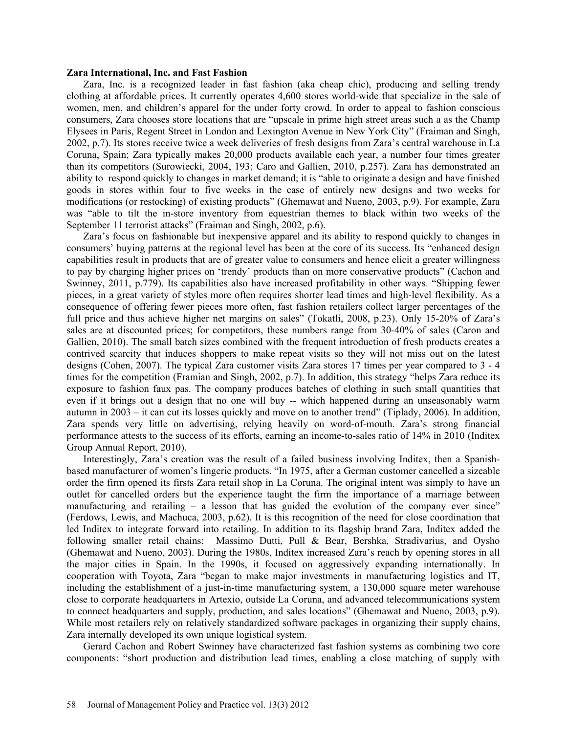### **Zara International, Inc. and Fast Fashion**

Zara, Inc. is a recognized leader in fast fashion (aka cheap chic), producing and selling trendy clothing at affordable prices. It currently operates 4,600 stores world-wide that specialize in the sale of women, men, and children's apparel for the under forty crowd. In order to appeal to fashion conscious consumers, Zara chooses store locations that are "upscale in prime high street areas such a as the Champ Elysees in Paris, Regent Street in London and Lexington Avenue in New York City" (Fraiman and Singh, 2002, p.7). Its stores receive twice a week deliveries of fresh designs from Zara's central warehouse in La Coruna, Spain; Zara typically makes 20,000 products available each year, a number four times greater than its competitors (Surowiecki, 2004, 193; Caro and Gallien, 2010, p.257). Zara has demonstrated an ability to respond quickly to changes in market demand; it is "able to originate a design and have finished goods in stores within four to five weeks in the case of entirely new designs and two weeks for modifications (or restocking) of existing products" (Ghemawat and Nueno, 2003, p.9). For example, Zara was "able to tilt the in-store inventory from equestrian themes to black within two weeks of the September 11 terrorist attacks" (Fraiman and Singh, 2002, p.6).

Zara's focus on fashionable but inexpensive apparel and its ability to respond quickly to changes in consumers' buying patterns at the regional level has been at the core of its success. Its "enhanced design capabilities result in products that are of greater value to consumers and hence elicit a greater willingness to pay by charging higher prices on 'trendy' products than on more conservative products" (Cachon and Swinney, 2011, p.779). Its capabilities also have increased profitability in other ways. "Shipping fewer pieces, in a great variety of styles more often requires shorter lead times and high-level flexibility. As a consequence of offering fewer pieces more often, fast fashion retailers collect larger percentages of the full price and thus achieve higher net margins on sales" (Tokatli, 2008, p.23). Only 15-20% of Zara's sales are at discounted prices; for competitors, these numbers range from 30-40% of sales (Caron and Gallien, 2010). The small batch sizes combined with the frequent introduction of fresh products creates a contrived scarcity that induces shoppers to make repeat visits so they will not miss out on the latest designs (Cohen, 2007). The typical Zara customer visits Zara stores 17 times per year compared to 3 - 4 times for the competition (Framian and Singh, 2002, p.7). In addition, this strategy "helps Zara reduce its exposure to fashion faux pas. The company produces batches of clothing in such small quantities that even if it brings out a design that no one will buy -- which happened during an unseasonably warm autumn in 2003 – it can cut its losses quickly and move on to another trend" (Tiplady, 2006). In addition, Zara spends very little on advertising, relying heavily on word-of-mouth. Zara's strong financial performance attests to the success of its efforts, earning an income-to-sales ratio of 14% in 2010 (Inditex Group Annual Report, 2010).

Interestingly, Zara's creation was the result of a failed business involving Inditex, then a Spanishbased manufacturer of women's lingerie products. "In 1975, after a German customer cancelled a sizeable order the firm opened its firsts Zara retail shop in La Coruna. The original intent was simply to have an outlet for cancelled orders but the experience taught the firm the importance of a marriage between manufacturing and retailing  $-$  a lesson that has guided the evolution of the company ever since" (Ferdows, Lewis, and Machuca, 2003, p.62). It is this recognition of the need for close coordination that led Inditex to integrate forward into retailing. In addition to its flagship brand Zara, Inditex added the following smaller retail chains: Massimo Dutti, Pull & Bear, Bershka, Stradivarius, and Oysho (Ghemawat and Nueno, 2003). During the 1980s, Inditex increased Zara's reach by opening stores in all the major cities in Spain. In the 1990s, it focused on aggressively expanding internationally. In cooperation with Toyota, Zara "began to make major investments in manufacturing logistics and IT, including the establishment of a just-in-time manufacturing system, a 130,000 square meter warehouse close to corporate headquarters in Artexio, outside La Coruna, and advanced telecommunications system to connect headquarters and supply, production, and sales locations" (Ghemawat and Nueno, 2003, p.9). While most retailers rely on relatively standardized software packages in organizing their supply chains, Zara internally developed its own unique logistical system.

Gerard Cachon and Robert Swinney have characterized fast fashion systems as combining two core components: "short production and distribution lead times, enabling a close matching of supply with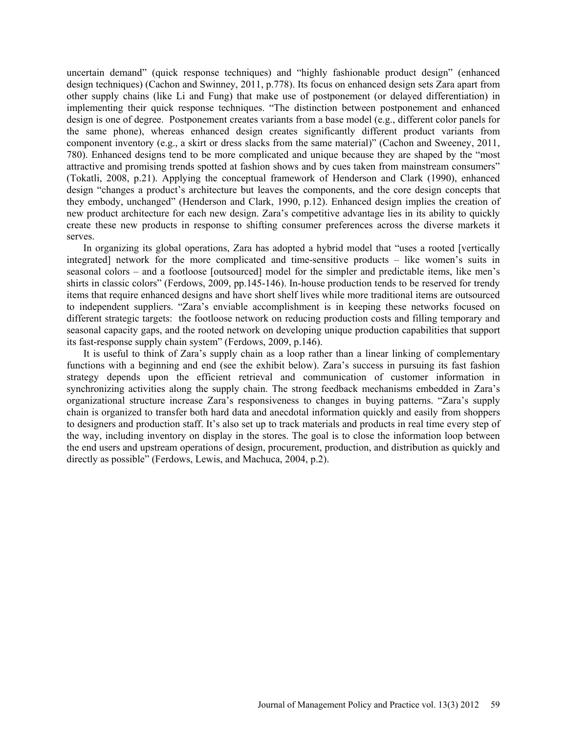uncertain demand" (quick response techniques) and "highly fashionable product design" (enhanced design techniques) (Cachon and Swinney, 2011, p.778). Its focus on enhanced design sets Zara apart from other supply chains (like Li and Fung) that make use of postponement (or delayed differentiation) in implementing their quick response techniques. "The distinction between postponement and enhanced design is one of degree. Postponement creates variants from a base model (e.g., different color panels for the same phone), whereas enhanced design creates significantly different product variants from component inventory (e.g., a skirt or dress slacks from the same material)" (Cachon and Sweeney, 2011, 780). Enhanced designs tend to be more complicated and unique because they are shaped by the "most attractive and promising trends spotted at fashion shows and by cues taken from mainstream consumers" (Tokatli, 2008, p.21). Applying the conceptual framework of Henderson and Clark (1990), enhanced design "changes a product's architecture but leaves the components, and the core design concepts that they embody, unchanged" (Henderson and Clark, 1990, p.12). Enhanced design implies the creation of new product architecture for each new design. Zara's competitive advantage lies in its ability to quickly create these new products in response to shifting consumer preferences across the diverse markets it serves.

In organizing its global operations, Zara has adopted a hybrid model that "uses a rooted [vertically integrated] network for the more complicated and time-sensitive products – like women's suits in seasonal colors – and a footloose [outsourced] model for the simpler and predictable items, like men's shirts in classic colors" (Ferdows, 2009, pp.145-146). In-house production tends to be reserved for trendy items that require enhanced designs and have short shelf lives while more traditional items are outsourced to independent suppliers. "Zara's enviable accomplishment is in keeping these networks focused on different strategic targets: the footloose network on reducing production costs and filling temporary and seasonal capacity gaps, and the rooted network on developing unique production capabilities that support its fast-response supply chain system" (Ferdows, 2009, p.146).

It is useful to think of Zara's supply chain as a loop rather than a linear linking of complementary functions with a beginning and end (see the exhibit below). Zara's success in pursuing its fast fashion strategy depends upon the efficient retrieval and communication of customer information in synchronizing activities along the supply chain. The strong feedback mechanisms embedded in Zara's organizational structure increase Zara's responsiveness to changes in buying patterns. "Zara's supply chain is organized to transfer both hard data and anecdotal information quickly and easily from shoppers to designers and production staff. It's also set up to track materials and products in real time every step of the way, including inventory on display in the stores. The goal is to close the information loop between the end users and upstream operations of design, procurement, production, and distribution as quickly and directly as possible" (Ferdows, Lewis, and Machuca, 2004, p.2).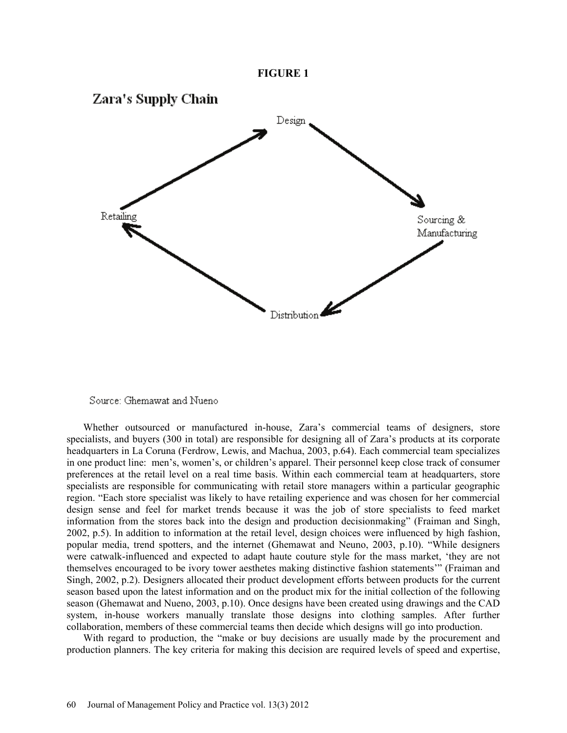



Source: Ghemawat and Nueno

Whether outsourced or manufactured in-house, Zara's commercial teams of designers, store specialists, and buyers (300 in total) are responsible for designing all of Zara's products at its corporate headquarters in La Coruna (Ferdrow, Lewis, and Machua, 2003, p.64). Each commercial team specializes in one product line: men's, women's, or children's apparel. Their personnel keep close track of consumer preferences at the retail level on a real time basis. Within each commercial team at headquarters, store specialists are responsible for communicating with retail store managers within a particular geographic region. "Each store specialist was likely to have retailing experience and was chosen for her commercial design sense and feel for market trends because it was the job of store specialists to feed market information from the stores back into the design and production decisionmaking" (Fraiman and Singh, 2002, p.5). In addition to information at the retail level, design choices were influenced by high fashion, popular media, trend spotters, and the internet (Ghemawat and Neuno, 2003, p.10). "While designers were catwalk-influenced and expected to adapt haute couture style for the mass market, 'they are not themselves encouraged to be ivory tower aesthetes making distinctive fashion statements'" (Fraiman and Singh, 2002, p.2). Designers allocated their product development efforts between products for the current season based upon the latest information and on the product mix for the initial collection of the following season (Ghemawat and Nueno, 2003, p.10). Once designs have been created using drawings and the CAD system, in-house workers manually translate those designs into clothing samples. After further collaboration, members of these commercial teams then decide which designs will go into production.

With regard to production, the "make or buy decisions are usually made by the procurement and production planners. The key criteria for making this decision are required levels of speed and expertise,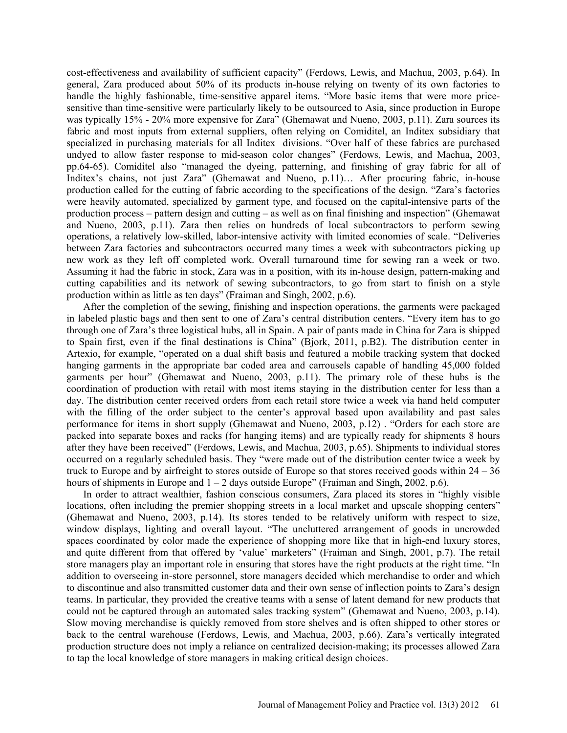cost-effectiveness and availability of sufficient capacity" (Ferdows, Lewis, and Machua, 2003, p.64). In general, Zara produced about 50% of its products in-house relying on twenty of its own factories to handle the highly fashionable, time-sensitive apparel items. "More basic items that were more pricesensitive than time-sensitive were particularly likely to be outsourced to Asia, since production in Europe was typically 15% - 20% more expensive for Zara" (Ghemawat and Nueno, 2003, p.11). Zara sources its fabric and most inputs from external suppliers, often relying on Comiditel, an Inditex subsidiary that specialized in purchasing materials for all Inditex divisions. "Over half of these fabrics are purchased undyed to allow faster response to mid-season color changes" (Ferdows, Lewis, and Machua, 2003, pp.64-65). Comiditel also "managed the dyeing, patterning, and finishing of gray fabric for all of Inditex's chains, not just Zara" (Ghemawat and Nueno, p.11)… After procuring fabric, in-house production called for the cutting of fabric according to the specifications of the design. "Zara's factories were heavily automated, specialized by garment type, and focused on the capital-intensive parts of the production process – pattern design and cutting – as well as on final finishing and inspection" (Ghemawat and Nueno, 2003, p.11). Zara then relies on hundreds of local subcontractors to perform sewing operations, a relatively low-skilled, labor-intensive activity with limited economies of scale. "Deliveries between Zara factories and subcontractors occurred many times a week with subcontractors picking up new work as they left off completed work. Overall turnaround time for sewing ran a week or two. Assuming it had the fabric in stock, Zara was in a position, with its in-house design, pattern-making and cutting capabilities and its network of sewing subcontractors, to go from start to finish on a style production within as little as ten days" (Fraiman and Singh, 2002, p.6).

After the completion of the sewing, finishing and inspection operations, the garments were packaged in labeled plastic bags and then sent to one of Zara's central distribution centers. "Every item has to go through one of Zara's three logistical hubs, all in Spain. A pair of pants made in China for Zara is shipped to Spain first, even if the final destinations is China" (Bjork, 2011, p.B2). The distribution center in Artexio, for example, "operated on a dual shift basis and featured a mobile tracking system that docked hanging garments in the appropriate bar coded area and carrousels capable of handling 45,000 folded garments per hour" (Ghemawat and Nueno, 2003, p.11). The primary role of these hubs is the coordination of production with retail with most items staying in the distribution center for less than a day. The distribution center received orders from each retail store twice a week via hand held computer with the filling of the order subject to the center's approval based upon availability and past sales performance for items in short supply (Ghemawat and Nueno, 2003, p.12) . "Orders for each store are packed into separate boxes and racks (for hanging items) and are typically ready for shipments 8 hours after they have been received" (Ferdows, Lewis, and Machua, 2003, p.65). Shipments to individual stores occurred on a regularly scheduled basis. They "were made out of the distribution center twice a week by truck to Europe and by airfreight to stores outside of Europe so that stores received goods within 24 – 36 hours of shipments in Europe and  $1 - 2$  days outside Europe" (Fraiman and Singh, 2002, p.6).

In order to attract wealthier, fashion conscious consumers, Zara placed its stores in "highly visible locations, often including the premier shopping streets in a local market and upscale shopping centers" (Ghemawat and Nueno, 2003, p.14). Its stores tended to be relatively uniform with respect to size, window displays, lighting and overall layout. "The uncluttered arrangement of goods in uncrowded spaces coordinated by color made the experience of shopping more like that in high-end luxury stores, and quite different from that offered by 'value' marketers" (Fraiman and Singh, 2001, p.7). The retail store managers play an important role in ensuring that stores have the right products at the right time. "In addition to overseeing in-store personnel, store managers decided which merchandise to order and which to discontinue and also transmitted customer data and their own sense of inflection points to Zara's design teams. In particular, they provided the creative teams with a sense of latent demand for new products that could not be captured through an automated sales tracking system" (Ghemawat and Nueno, 2003, p.14). Slow moving merchandise is quickly removed from store shelves and is often shipped to other stores or back to the central warehouse (Ferdows, Lewis, and Machua, 2003, p.66). Zara's vertically integrated production structure does not imply a reliance on centralized decision-making; its processes allowed Zara to tap the local knowledge of store managers in making critical design choices.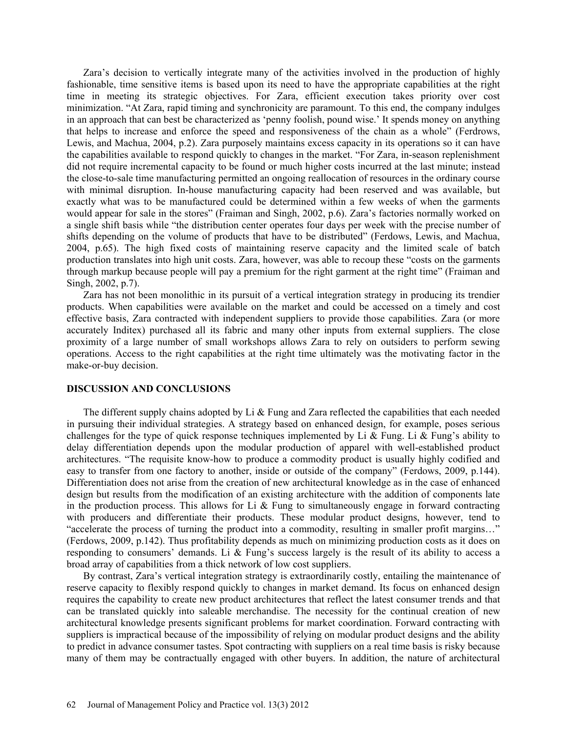Zara's decision to vertically integrate many of the activities involved in the production of highly fashionable, time sensitive items is based upon its need to have the appropriate capabilities at the right time in meeting its strategic objectives. For Zara, efficient execution takes priority over cost minimization. "At Zara, rapid timing and synchronicity are paramount. To this end, the company indulges in an approach that can best be characterized as 'penny foolish, pound wise.' It spends money on anything that helps to increase and enforce the speed and responsiveness of the chain as a whole" (Ferdrows, Lewis, and Machua, 2004, p.2). Zara purposely maintains excess capacity in its operations so it can have the capabilities available to respond quickly to changes in the market. "For Zara, in-season replenishment did not require incremental capacity to be found or much higher costs incurred at the last minute; instead the close-to-sale time manufacturing permitted an ongoing reallocation of resources in the ordinary course with minimal disruption. In-house manufacturing capacity had been reserved and was available, but exactly what was to be manufactured could be determined within a few weeks of when the garments would appear for sale in the stores" (Fraiman and Singh, 2002, p.6). Zara's factories normally worked on a single shift basis while "the distribution center operates four days per week with the precise number of shifts depending on the volume of products that have to be distributed" (Ferdows, Lewis, and Machua, 2004, p.65). The high fixed costs of maintaining reserve capacity and the limited scale of batch production translates into high unit costs. Zara, however, was able to recoup these "costs on the garments through markup because people will pay a premium for the right garment at the right time" (Fraiman and Singh, 2002, p.7).

Zara has not been monolithic in its pursuit of a vertical integration strategy in producing its trendier products. When capabilities were available on the market and could be accessed on a timely and cost effective basis, Zara contracted with independent suppliers to provide those capabilities. Zara (or more accurately Inditex) purchased all its fabric and many other inputs from external suppliers. The close proximity of a large number of small workshops allows Zara to rely on outsiders to perform sewing operations. Access to the right capabilities at the right time ultimately was the motivating factor in the make-or-buy decision.

# **DISCUSSION AND CONCLUSIONS**

The different supply chains adopted by Li  $\&$  Fung and Zara reflected the capabilities that each needed in pursuing their individual strategies. A strategy based on enhanced design, for example, poses serious challenges for the type of quick response techniques implemented by Li & Fung. Li & Fung's ability to delay differentiation depends upon the modular production of apparel with well-established product architectures. "The requisite know-how to produce a commodity product is usually highly codified and easy to transfer from one factory to another, inside or outside of the company" (Ferdows, 2009, p.144). Differentiation does not arise from the creation of new architectural knowledge as in the case of enhanced design but results from the modification of an existing architecture with the addition of components late in the production process. This allows for Li  $\&$  Fung to simultaneously engage in forward contracting with producers and differentiate their products. These modular product designs, however, tend to "accelerate the process of turning the product into a commodity, resulting in smaller profit margins…" (Ferdows, 2009, p.142). Thus profitability depends as much on minimizing production costs as it does on responding to consumers' demands. Li & Fung's success largely is the result of its ability to access a broad array of capabilities from a thick network of low cost suppliers.

By contrast, Zara's vertical integration strategy is extraordinarily costly, entailing the maintenance of reserve capacity to flexibly respond quickly to changes in market demand. Its focus on enhanced design requires the capability to create new product architectures that reflect the latest consumer trends and that can be translated quickly into saleable merchandise. The necessity for the continual creation of new architectural knowledge presents significant problems for market coordination. Forward contracting with suppliers is impractical because of the impossibility of relying on modular product designs and the ability to predict in advance consumer tastes. Spot contracting with suppliers on a real time basis is risky because many of them may be contractually engaged with other buyers. In addition, the nature of architectural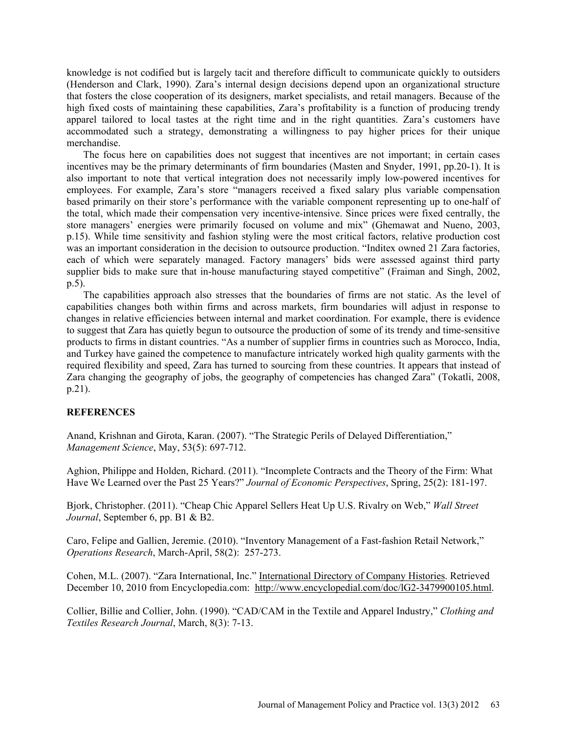knowledge is not codified but is largely tacit and therefore difficult to communicate quickly to outsiders (Henderson and Clark, 1990). Zara's internal design decisions depend upon an organizational structure that fosters the close cooperation of its designers, market specialists, and retail managers. Because of the high fixed costs of maintaining these capabilities, Zara's profitability is a function of producing trendy apparel tailored to local tastes at the right time and in the right quantities. Zara's customers have accommodated such a strategy, demonstrating a willingness to pay higher prices for their unique merchandise.

The focus here on capabilities does not suggest that incentives are not important; in certain cases incentives may be the primary determinants of firm boundaries (Masten and Snyder, 1991, pp.20-1). It is also important to note that vertical integration does not necessarily imply low-powered incentives for employees. For example, Zara's store "managers received a fixed salary plus variable compensation based primarily on their store's performance with the variable component representing up to one-half of the total, which made their compensation very incentive-intensive. Since prices were fixed centrally, the store managers' energies were primarily focused on volume and mix" (Ghemawat and Nueno, 2003, p.15). While time sensitivity and fashion styling were the most critical factors, relative production cost was an important consideration in the decision to outsource production. "Inditex owned 21 Zara factories, each of which were separately managed. Factory managers' bids were assessed against third party supplier bids to make sure that in-house manufacturing stayed competitive" (Fraiman and Singh, 2002, p.5).

The capabilities approach also stresses that the boundaries of firms are not static. As the level of capabilities changes both within firms and across markets, firm boundaries will adjust in response to changes in relative efficiencies between internal and market coordination. For example, there is evidence to suggest that Zara has quietly begun to outsource the production of some of its trendy and time-sensitive products to firms in distant countries. "As a number of supplier firms in countries such as Morocco, India, and Turkey have gained the competence to manufacture intricately worked high quality garments with the required flexibility and speed, Zara has turned to sourcing from these countries. It appears that instead of Zara changing the geography of jobs, the geography of competencies has changed Zara" (Tokatli, 2008, p.21).

# **REFERENCES**

Anand, Krishnan and Girota, Karan. (2007). "The Strategic Perils of Delayed Differentiation," *Management Science*, May, 53(5): 697-712.

Aghion, Philippe and Holden, Richard. (2011). "Incomplete Contracts and the Theory of the Firm: What Have We Learned over the Past 25 Years?" *Journal of Economic Perspectives*, Spring, 25(2): 181-197.

Bjork, Christopher. (2011). "Cheap Chic Apparel Sellers Heat Up U.S. Rivalry on Web," *Wall Street Journal*, September 6, pp. B1 & B2.

Caro, Felipe and Gallien, Jeremie. (2010). "Inventory Management of a Fast-fashion Retail Network," *Operations Research*, March-April, 58(2): 257-273.

Cohen, M.L. (2007). "Zara International, Inc." International Directory of Company Histories. Retrieved December 10, 2010 from Encyclopedia.com: http://www.encyclopedial.com/doc/lG2-3479900105.html.

Collier, Billie and Collier, John. (1990). "CAD/CAM in the Textile and Apparel Industry," *Clothing and Textiles Research Journal*, March, 8(3): 7-13.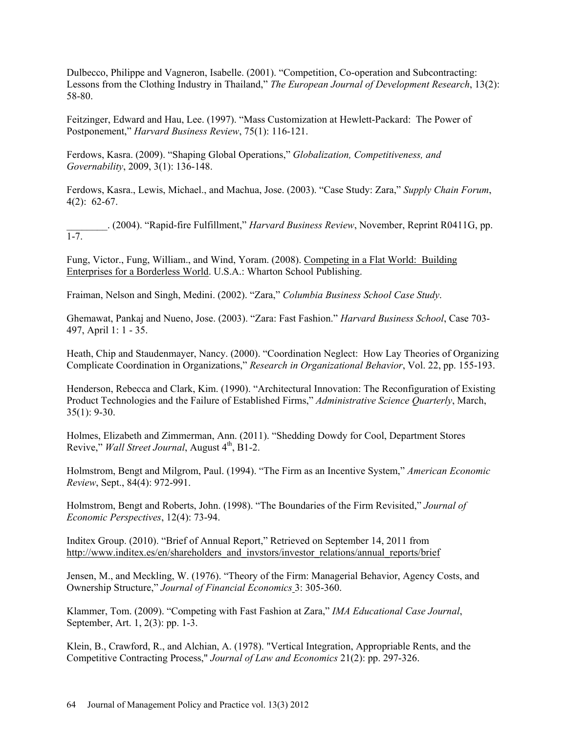Dulbecco, Philippe and Vagneron, Isabelle. (2001). "Competition, Co-operation and Subcontracting: Lessons from the Clothing Industry in Thailand," *The European Journal of Development Research*, 13(2): 58-80.

Feitzinger, Edward and Hau, Lee. (1997). "Mass Customization at Hewlett-Packard: The Power of Postponement," *Harvard Business Review*, 75(1): 116-121.

Ferdows, Kasra. (2009). "Shaping Global Operations," *Globalization, Competitiveness, and Governability*, 2009, 3(1): 136-148.

Ferdows, Kasra., Lewis, Michael., and Machua, Jose. (2003). "Case Study: Zara," *Supply Chain Forum*, 4(2): 62-67.

\_\_\_\_\_\_\_\_. (2004). "Rapid-fire Fulfillment," *Harvard Business Review*, November, Reprint R0411G, pp.  $\overline{1-7}$ .

Fung, Victor., Fung, William., and Wind, Yoram. (2008). Competing in a Flat World: Building Enterprises for a Borderless World. U.S.A.: Wharton School Publishing.

Fraiman, Nelson and Singh, Medini. (2002). "Zara," *Columbia Business School Case Study*.

Ghemawat, Pankaj and Nueno, Jose. (2003). "Zara: Fast Fashion." *Harvard Business School*, Case 703- 497, April 1: 1 - 35.

Heath, Chip and Staudenmayer, Nancy. (2000). "Coordination Neglect: How Lay Theories of Organizing Complicate Coordination in Organizations," *Research in Organizational Behavior*, Vol. 22, pp. 155-193.

Henderson, Rebecca and Clark, Kim. (1990). "Architectural Innovation: The Reconfiguration of Existing Product Technologies and the Failure of Established Firms," *Administrative Science Quarterly*, March, 35(1): 9-30.

Holmes, Elizabeth and Zimmerman, Ann. (2011). "Shedding Dowdy for Cool, Department Stores Revive," *Wall Street Journal*, August 4<sup>th</sup>, B1-2.

Holmstrom, Bengt and Milgrom, Paul. (1994). "The Firm as an Incentive System," *American Economic Review*, Sept., 84(4): 972-991.

Holmstrom, Bengt and Roberts, John. (1998). "The Boundaries of the Firm Revisited," *Journal of Economic Perspectives*, 12(4): 73-94.

Inditex Group. (2010). "Brief of Annual Report," Retrieved on September 14, 2011 from http://www.inditex.es/en/shareholders\_and\_invstors/investor\_relations/annual\_reports/brief

Jensen, M., and Meckling, W. (1976). "Theory of the Firm: Managerial Behavior, Agency Costs, and Ownership Structure," *Journal of Financial Economics* 3: 305-360.

Klammer, Tom. (2009). "Competing with Fast Fashion at Zara," *IMA Educational Case Journal*, September, Art. 1, 2(3): pp. 1-3.

Klein, B., Crawford, R., and Alchian, A. (1978). "Vertical Integration, Appropriable Rents, and the Competitive Contracting Process," *Journal of Law and Economics* 21(2): pp. 297-326.